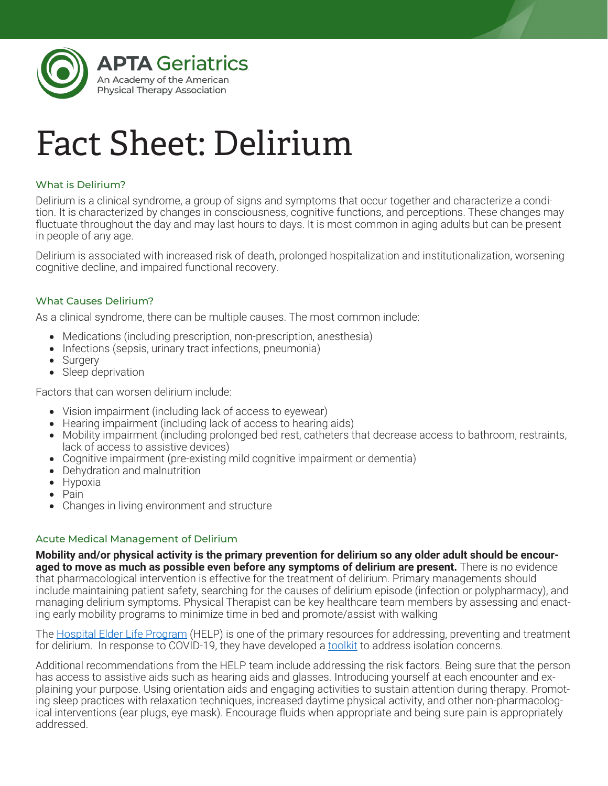

# Fact Sheet: Delirium

## What is Delirium?

Delirium is a clinical syndrome, a group of signs and symptoms that occur together and characterize a condition. It is characterized by changes in consciousness, cognitive functions, and perceptions. These changes may fluctuate throughout the day and may last hours to days. It is most common in aging adults but can be present in people of any age.

Delirium is associated with increased risk of death, prolonged hospitalization and institutionalization, worsening cognitive decline, and impaired functional recovery.

## What Causes Delirium?

As a clinical syndrome, there can be multiple causes. The most common include:

- Medications (including prescription, non-prescription, anesthesia)
- Infections (sepsis, urinary tract infections, pneumonia)
- Surgery
- Sleep deprivation

Factors that can worsen delirium include:

- Vision impairment (including lack of access to eyewear)
- Hearing impairment (including lack of access to hearing aids)
- Mobility impairment (including prolonged bed rest, catheters that decrease access to bathroom, restraints, lack of access to assistive devices)
- • Cognitive impairment (pre-existing mild cognitive impairment or dementia)
- Dehydration and malnutrition
- Hypoxia
- • Pain
- Changes in living environment and structure

#### Acute Medical Management of Delirium

**Mobility and/or physical activity is the primary prevention for delirium so any older adult should be encouraged to move as much as possible even before any symptoms of delirium are present.** There is no evidence that pharmacological intervention is effective for the treatment of delirium. Primary managements should include maintaining patient safety, searching for the causes of delirium episode (infection or polypharmacy), and managing delirium symptoms. Physical Therapist can be key healthcare team members by assessing and enacting early mobility programs to minimize time in bed and promote/assist with walking

The Hospital Elder Life Program (HELP) is one of the primary resources for addressing, preventing and treatment for delirium. In response to COVID-19, they have developed a toolkit to address isolation concerns.

Additional recommendations from the HELP team include addressing the risk factors. Being sure that the person has access to assistive aids such as hearing aids and glasses. Introducing yourself at each encounter and explaining your purpose. Using orientation aids and engaging activities to sustain attention during therapy. Promoting sleep practices with relaxation techniques, increased daytime physical activity, and other non-pharmacological interventions (ear plugs, eye mask). Encourage fluids when appropriate and being sure pain is appropriately addressed.